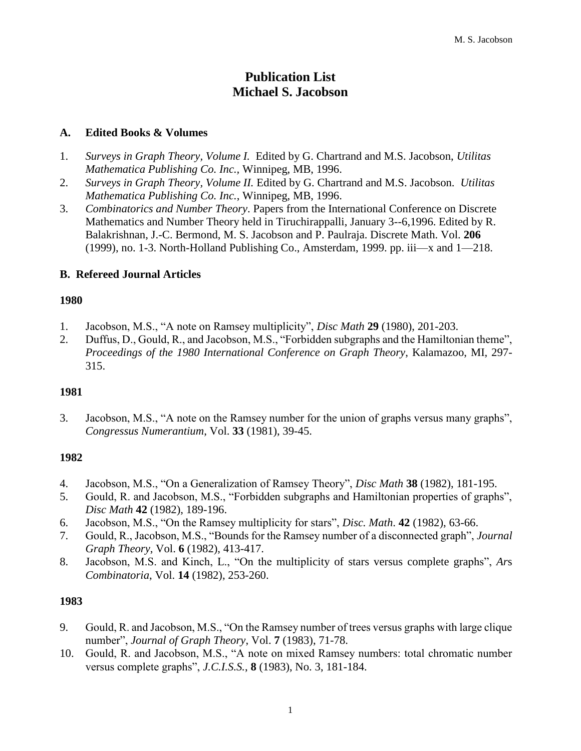# **Publication List Michael S. Jacobson**

# **A. Edited Books & Volumes**

- 1. *Surveys in Graph Theory, Volume I.* Edited by G. Chartrand and M.S. Jacobson, *Utilitas Mathematica Publishing Co. Inc.,* Winnipeg, MB, 1996.
- 2. *Surveys in Graph Theory, Volume II.* Edited by G. Chartrand and M.S. Jacobson. *Utilitas Mathematica Publishing Co. Inc.*, Winnipeg, MB, 1996.
- 3. *Combinatorics and Number Theory*. Papers from the International Conference on Discrete Mathematics and Number Theory held in Tiruchirappalli, January 3--6,1996. Edited by R. Balakrishnan, J.-C. Bermond, M. S. Jacobson and P. Paulraja. Discrete Math. Vol. **206** (1999), no. 1-3. North-Holland Publishing Co., Amsterdam, 1999. pp. iii—x and 1—218.

# **B. Refereed Journal Articles**

# **1980**

- 1. Jacobson, M.S., "A note on Ramsey multiplicity", *Disc Math* **29** (1980), 201-203.
- 2. Duffus, D., Gould, R., and Jacobson, M.S., "Forbidden subgraphs and the Hamiltonian theme", *Proceedings of the 1980 International Conference on Graph Theory*, Kalamazoo, MI, 297- 315.

### **1981**

3. Jacobson, M.S., "A note on the Ramsey number for the union of graphs versus many graphs", *Congressus Numerantium*, Vol. **33** (1981), 39-45.

### **1982**

- 4. Jacobson, M.S., "On a Generalization of Ramsey Theory", *Disc Math* **38** (1982), 181-195.
- 5. Gould, R. and Jacobson, M.S., "Forbidden subgraphs and Hamiltonian properties of graphs", *Disc Math* **42** (1982), 189-196.
- 6. Jacobson, M.S., "On the Ramsey multiplicity for stars", *Disc. Math*. **42** (1982), 63-66.
- 7. Gould, R., Jacobson, M.S., "Bounds for the Ramsey number of a disconnected graph", *Journal Graph Theory*, Vol. **6** (1982), 413-417.
- 8. Jacobson, M.S. and Kinch, L., "On the multiplicity of stars versus complete graphs", *Ar*s *Combinatoria*, Vol. **14** (1982), 253-260.

- 9. Gould, R. and Jacobson, M.S., "On the Ramsey number of trees versus graphs with large clique number", *Journal of Graph Theory*, Vol. **7** (1983), 71-78.
- 10. Gould, R. and Jacobson, M.S., "A note on mixed Ramsey numbers: total chromatic number versus complete graphs", *J.C.I.S.S.*, **8** (1983), No. 3, 181-184.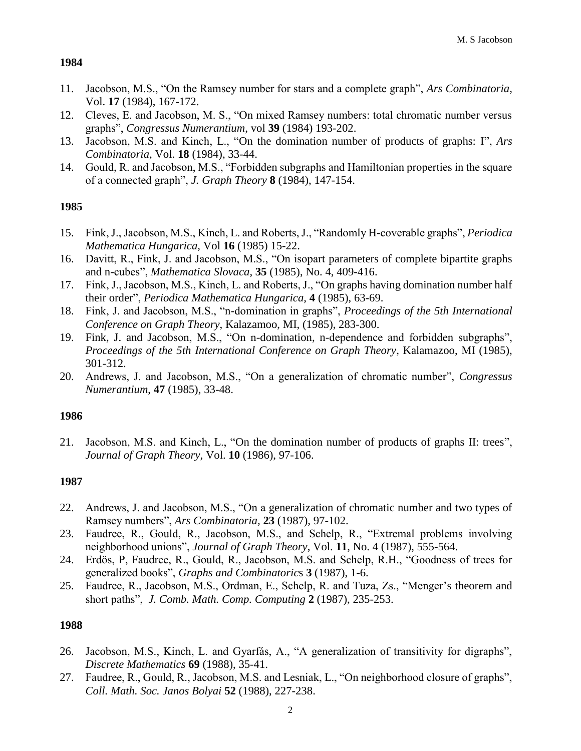- 11. Jacobson, M.S., "On the Ramsey number for stars and a complete graph", *Ars Combinatoria*, Vol. **17** (1984), 167-172.
- 12. Cleves, E. and Jacobson, M. S., "On mixed Ramsey numbers: total chromatic number versus graphs", *Congressus Numerantium*, vol **39** (1984) 193-202.
- 13. Jacobson, M.S. and Kinch, L., ["On the domination number of products of graphs: I"](http://www.math.ucdenver.edu/~msj/papers/DomProdI.pdf), *Ars Combinatoria*, Vol. **18** (1984), 33-44.
- 14. Gould, R. and Jacobson, M.S., "Forbidden subgraphs and Hamiltonian properties in the square of a connected graph", *J. Graph Theory* **8** (1984), 147-154.

# **1985**

- 15. Fink, J., Jacobson, M.S., Kinch, L. and Roberts, J., "Randomly H-coverable graphs", *Periodica Mathematica Hungarica*, Vol **16** (1985) 15-22.
- 16. Davitt, R., Fink, J. and Jacobson, M.S., "On isopart parameters of complete bipartite graphs and n-cubes", *Mathematica Slovaca*, **35** (1985), No. 4, 409-416.
- 17. Fink, J., Jacobson, M.S., Kinch, L. and Roberts, J., ["On graphs having domination number half](http://www.math.ucdenver.edu/~msj/papers/HalfDom.pdf)  [their order"](http://www.math.ucdenver.edu/~msj/papers/HalfDom.pdf), *Periodica Mathematica Hungarica*, **4** (1985), 63-69.
- 18. Fink, J. and Jacobson, M.S., "n-domination in graphs", *Proceedings of the 5th International Conference on Graph Theory*, Kalazamoo, MI, (1985), 283-300.
- 19. Fink, J. and Jacobson, M.S., "On n-domination, n-dependence and forbidden subgraphs", *Proceedings of the 5th International Conference on Graph Theory*, Kalamazoo, MI (1985), 301-312.
- 20. Andrews, J. and Jacobson, M.S., "On a generalization of chromatic number", *Congressus Numerantium*, **47** (1985), 33-48.

### **1986**

21. Jacobson, M.S. and Kinch, L., ["On the domination number of products of graphs II: trees"](http://www.math.ucdenver.edu/~msj/papers/DomProdII-trees.pdf), *Journal of Graph Theory*, Vol. **10** (1986), 97-106.

### **1987**

- 22. Andrews, J. and Jacobson, M.S., "On a generalization of chromatic number and two types of Ramsey numbers", *Ars Combinatoria,* **23** (1987), 97-102.
- 23. Faudree, R., Gould, R., Jacobson, M.S., and Schelp, R., "Extremal problems involving neighborhood unions", *Journal of Graph Theory*, Vol. **11**, No. 4 (1987), 555-564.
- 24. Erdös, P, Faudree, R., Gould, R., Jacobson, M.S. and Schelp, R.H., "Goodness of trees for generalized books", *Graphs and Combinatoric*s **3** (1987), 1-6.
- 25. Faudree, R., Jacobson, M.S., Ordman, E., Schelp, R. and Tuza, Zs., "Menger's theorem and short paths", *J. Comb. Math. Comp. Computing* **2** (1987), 235-253.

- 26. Jacobson, M.S., Kinch, L. and Gyarfás, A., "A generalization of transitivity for digraphs", *Discrete Mathematics* **69** (1988), 35-41.
- 27. Faudree, R., Gould, R., Jacobson, M.S. and Lesniak, L., "On neighborhood closure of graphs", *Coll. Math. Soc. Janos Bolyai* **52** (1988), 227-238.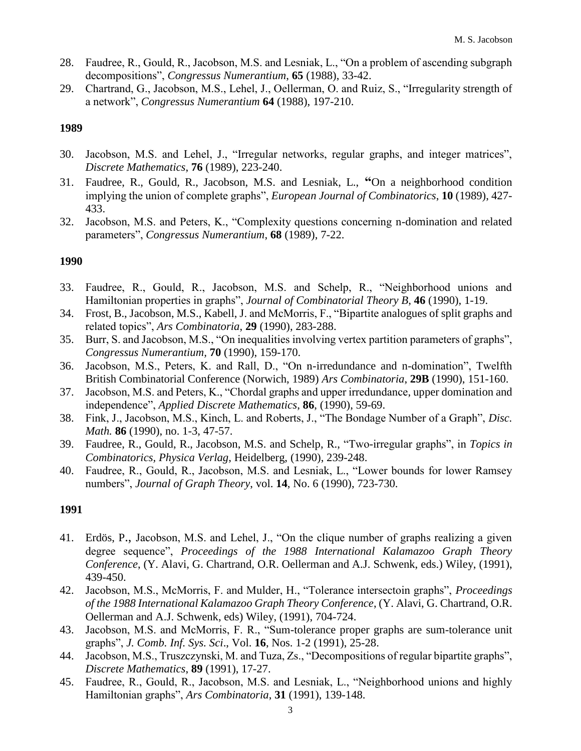- 28. Faudree, R., Gould, R., Jacobson, M.S. and Lesniak, L., "On a problem of ascending subgraph decompositions", *Congressus Numerantium*, **65** (1988), 33-42.
- 29. Chartrand, G., Jacobson, M.S., Lehel, J., Oellerman, O. and Ruiz, S., "Irregularity strength of a network", *Congressus Numerantium* **64** (1988), 197-210.

- 30. Jacobson, M.S. and Lehel, J., "Irregular networks, regular graphs, and integer matrices", *Discrete Mathematics*, **76** (1989), 223-240.
- 31. Faudree, R., Gould, R., Jacobson, M.S. and Lesniak, L., **"**On a neighborhood condition implying the union of complete graphs", *European Journal of Combinatorics*, **10** (1989), 427- 433.
- 32. Jacobson, M.S. and Peters, K., "Complexity questions concerning n-domination and related parameters", *Congressus Numerantium*, **68** (1989), 7-22.

# **1990**

- 33. Faudree, R., Gould, R., Jacobson, M.S. and Schelp, R., "Neighborhood unions and Hamiltonian properties in graphs", *Journal of Combinatorial Theory B*, **46** (1990), 1-19.
- 34. Frost, B., Jacobson, M.S., Kabell, J. and McMorris, F., "Bipartite analogues of split graphs and related topics", *Ars Combinatoria*, **29** (1990), 283-288.
- 35. Burr, S. and Jacobson, M.S., "On inequalities involving vertex partition parameters of graphs", *Congressus Numerantium,* **70** (1990), 159-170.
- 36. Jacobson, M.S., Peters, K. and Rall, D., "On n-irredundance and n-domination", Twelfth British Combinatorial Conference (Norwich, 1989) *Ars Combinatoria*, **29B** (1990), 151-160.
- 37. Jacobson, M.S. and Peters, K., "Chordal graphs and upper irredundance, upper domination and independence", *Applied Discrete Mathematics*, **86**, (1990), 59-69.
- 38. Fink, J., Jacobson, M.S., Kinch, L. and Roberts, J., "The Bondage Number of a Graph", *Disc. Math.* **86** (1990), no. 1-3, 47-57.
- 39. Faudree, R., Gould, R., Jacobson, M.S. and Schelp, R., "Two-irregular graphs", in *Topics in Combinatorics, Physica Verlag*, Heidelberg, (1990), 239-248.
- 40. Faudree, R., Gould, R., Jacobson, M.S. and Lesniak, L., "Lower bounds for lower Ramsey numbers", *Journal of Graph Theory*, vol. **14**, No. 6 (1990), 723-730.

- 41. Erdös, P., Jacobson, M.S. and Lehel, J., "On the clique number of graphs realizing a given degree sequence", *Proceedings of the 1988 International Kalamazoo Graph Theory Conference*, (Y. Alavi, G. Chartrand, O.R. Oellerman and A.J. Schwenk, eds.) Wiley, (1991), 439-450.
- 42. Jacobson, M.S., McMorris, F. and Mulder, H., "Tolerance intersectoin graphs", *Proceedings of the 1988 International Kalamazoo Graph Theory Conference*, (Y. Alavi, G. Chartrand, O.R. Oellerman and A.J. Schwenk, eds) Wiley, (1991), 704-724.
- 43. Jacobson, M.S. and McMorris, F. R., "Sum-tolerance proper graphs are sum-tolerance unit graphs", *J. Comb. Inf. Sys. Sci*., Vol. **16**, Nos. 1-2 (1991), 25-28.
- 44. Jacobson, M.S., Truszczynski, M. and Tuza, Zs., "Decompositions of regular bipartite graphs", *Discrete Mathematics*, **89** (1991), 17-27.
- 45. Faudree, R., Gould, R., Jacobson, M.S. and Lesniak, L., "Neighborhood unions and highly Hamiltonian graphs", *Ars Combinatoria*, **31** (1991), 139-148.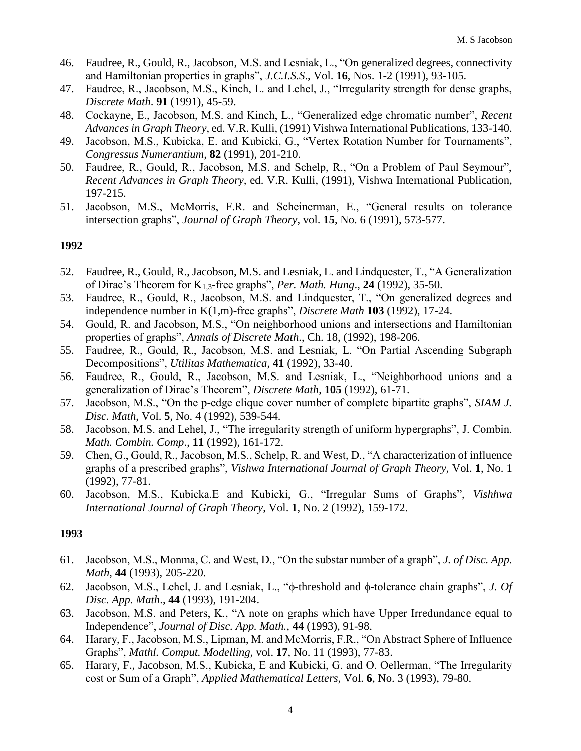- 46. Faudree, R., Gould, R., Jacobson, M.S. and Lesniak, L., "On generalized degrees, connectivity and Hamiltonian properties in graphs", *J.C.I.S.S*., Vol. **16**, Nos. 1-2 (1991), 93-105.
- 47. Faudree, R., Jacobson, M.S., Kinch, L. and Lehel, J., "Irregularity strength for dense graphs, *Discrete Math*. **91** (1991), 45-59.
- 48. Cockayne, E., Jacobson, M.S. and Kinch, L., "Generalized edge chromatic number", *Recent Advances in Graph Theory*, ed. V.R. Kulli, (1991) Vishwa International Publications, 133-140.
- 49. Jacobson, M.S., Kubicka, E. and Kubicki, G., "Vertex Rotation Number for Tournaments", *Congressus Numerantium,* **82** (1991), 201-210.
- 50. Faudree, R., Gould, R., Jacobson, M.S. and Schelp, R., "On a Problem of Paul Seymour", *Recent Advances in Graph Theory,* ed. V.R. Kulli, (1991), Vishwa International Publication, 197-215.
- 51. Jacobson, M.S., McMorris, F.R. and Scheinerman, E., "General results on tolerance intersection graphs", *Journal of Graph Theory*, vol. **15**, No. 6 (1991), 573-577.

- 52. Faudree, R., Gould, R., Jacobson, M.S. and Lesniak, L. and Lindquester, T., "A Generalization of Dirac's Theorem for K1,3-free graphs", *Per. Math. Hung*., **24** (1992), 35-50.
- 53. Faudree, R., Gould, R., Jacobson, M.S. and Lindquester, T., "On generalized degrees and independence number in K(1,m)-free graphs", *Discrete Math* **103** (1992), 17-24.
- 54. Gould, R. and Jacobson, M.S., "On neighborhood unions and intersections and Hamiltonian properties of graphs", *Annals of Discrete Math*., Ch. 18, (1992), 198-206.
- 55. Faudree, R., Gould, R., Jacobson, M.S. and Lesniak, L. "On Partial Ascending Subgraph Decompositions", *Utilitas Mathematica*, **41** (1992), 33-40.
- 56. Faudree, R., Gould, R., Jacobson, M.S. and Lesniak, L., "Neighborhood unions and a generalization of Dirac's Theorem", *Discrete Math*, **105** (1992), 61-71.
- 57. Jacobson, M.S., "On the p-edge clique cover number of complete bipartite graphs", *SIAM J. Disc. Math*, Vol. **5**, No. 4 (1992), 539-544.
- 58. Jacobson, M.S. and Lehel, J., "The irregularity strength of uniform hypergraphs", J. Combin. *Math. Combin. Comp*., **11** (1992), 161-172.
- 59. Chen, G., Gould, R., Jacobson, M.S., Schelp, R. and West, D., "A characterization of influence graphs of a prescribed graphs", *Vishwa International Journal of Graph Theory,* Vol. **1**, No. 1 (1992), 77-81.
- 60. Jacobson, M.S., Kubicka.E and Kubicki, G., "Irregular Sums of Graphs", *Vishhwa International Journal of Graph Theory*, Vol. **1**, No. 2 (1992), 159-172.

- 61. Jacobson, M.S., Monma, C. and West, D., "On the substar number of a graph", *J. of Disc. App. Math*, **44** (1993), 205-220.
- 62. Jacobson, M.S., Lehel, J. and Lesniak, L., " $\phi$ -threshold and  $\phi$ -tolerance chain graphs", *J. Of Disc. App. Math*., **44** (1993), 191-204.
- 63. Jacobson, M.S. and Peters, K., "A note on graphs which have Upper Irredundance equal to Independence", *Journal of Disc. App. Math.,* **44** (1993), 91-98.
- 64. Harary, F., Jacobson, M.S., Lipman, M. and McMorris, F.R., "On Abstract Sphere of Influence Graphs", *Mathl. Comput. Modelling,* vol. **17**, No. 11 (1993), 77-83.
- 65. Harary, F., Jacobson, M.S., Kubicka, E and Kubicki, G. and O. Oellerman, "The Irregularity cost or Sum of a Graph", *Applied Mathematical Letters*, Vol. **6**, No. 3 (1993), 79-80.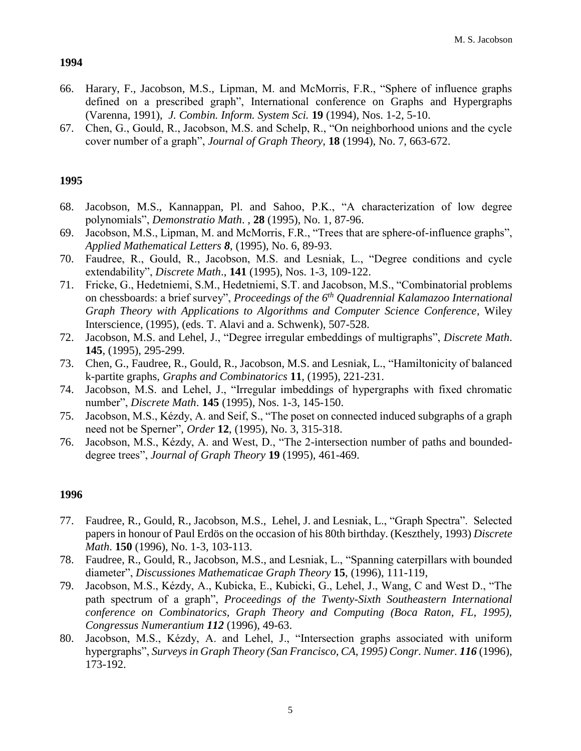- 66. Harary, F., Jacobson, M.S., Lipman, M. and McMorris, F.R., "Sphere of influence graphs defined on a prescribed graph", International conference on Graphs and Hypergraphs (Varenna, 1991), *J. Combin. Inform. System Sci.* **19** (1994), Nos. 1-2, 5-10.
- 67. Chen, G., Gould, R., Jacobson, M.S. and Schelp, R., "On neighborhood unions and the cycle cover number of a graph", *Journal of Graph Theory*, **18** (1994), No. 7, 663-672.

# **1995**

- 68. Jacobson, M.S., Kannappan, Pl. and Sahoo, P.K., "A characterization of low degree polynomials", *Demonstratio Math*. , **28** (1995), No. 1, 87-96.
- 69. Jacobson, M.S., Lipman, M. and McMorris, F.R., "Trees that are sphere-of-influence graphs", *Applied Mathematical Letters 8*, (1995), No. 6, 89-93.
- 70. Faudree, R., Gould, R., Jacobson, M.S. and Lesniak, L., "Degree conditions and cycle extendability", *Discrete Math*., **141** (1995), Nos. 1-3, 109-122.
- 71. Fricke, G., Hedetniemi, S.M., Hedetniemi, S.T. and Jacobson, M.S., "Combinatorial problems on chessboards: a brief survey", *Proceedings of the 6th Quadrennial Kalamazoo International Graph Theory with Applications to Algorithms and Computer Science Conference*, Wiley Interscience, (1995), (eds. T. Alavi and a. Schwenk), 507-528.
- 72. Jacobson, M.S. and Lehel, J., "Degree irregular embeddings of multigraphs", *Discrete Math*. **145**, (1995), 295-299.
- 73. Chen, G., Faudree, R., Gould, R., Jacobson, M.S. and Lesniak, L., "Hamiltonicity of balanced k-partite graphs, *Graphs and Combinatorics* **11**, (1995), 221-231.
- 74. Jacobson, M.S. and Lehel, J., "Irregular imbeddings of hypergraphs with fixed chromatic number", *Discrete Math*. **145** (1995), Nos. 1-3, 145-150.
- 75. Jacobson, M.S., Kézdy, A. and Seif, S., "The poset on connected induced subgraphs of a graph need not be Sperner", *Order* **12**, (1995), No. 3, 315-318.
- 76. Jacobson, M.S., Kézdy, A. and West, D., "The 2-intersection number of paths and boundeddegree trees", *Journal of Graph Theory* **19** (1995), 461-469.

- 77. Faudree, R., Gould, R., Jacobson, M.S., Lehel, J. and Lesniak, L., "Graph Spectra". Selected papers in honour of Paul Erdös on the occasion of his 80th birthday. (Keszthely, 1993) *Discrete Math*. **150** (1996), No. 1-3, 103-113.
- 78. Faudree, R., Gould, R., Jacobson, M.S., and Lesniak, L., "Spanning caterpillars with bounded diameter", *Discussiones Mathematicae Graph Theory* **15**, (1996), 111-119,
- 79. Jacobson, M.S., Kézdy, A., Kubicka, E., Kubicki, G., Lehel, J., Wang, C and West D., "The path spectrum of a graph", *Proceedings of the Twenty-Sixth Southeastern International conference on Combinatorics, Graph Theory and Computing (Boca Raton, FL, 1995), Congressus Numerantium 112* (1996), 49-63.
- 80. Jacobson, M.S., Kézdy, A. and Lehel, J., "Intersection graphs associated with uniform hypergraphs", *Surveys in Graph Theory (San Francisco, CA, 1995) Congr. Numer. 116* (1996), 173-192.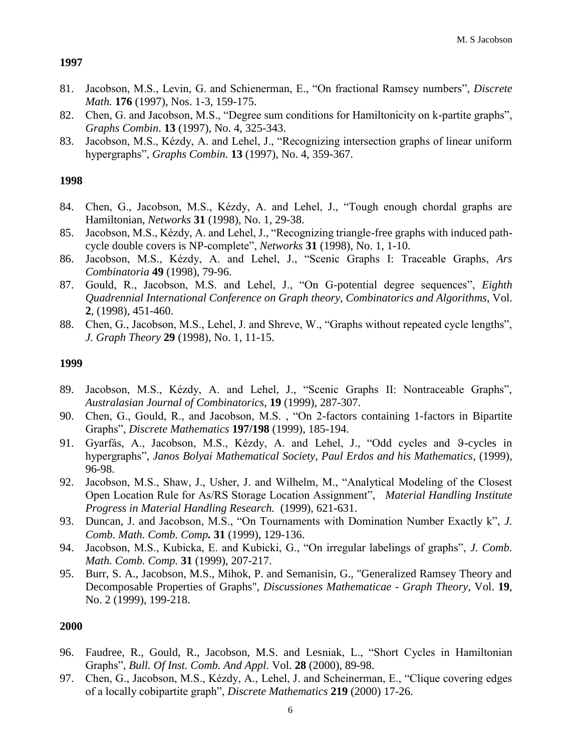- 81. Jacobson, M.S., Levin, G. and Schienerman, E., "On fractional Ramsey numbers", *Discrete Math.* **176** (1997), Nos. 1-3, 159-175.
- 82. Chen, G. and Jacobson, M.S., "Degree sum conditions for Hamiltonicity on k-partite graphs", *Graphs Combin*. **13** (1997), No. 4, 325-343.
- 83. Jacobson, M.S., Kézdy, A. and Lehel, J., "Recognizing intersection graphs of linear uniform hypergraphs", *Graphs Combin.* **13** (1997), No. 4, 359-367.

# **1998**

- 84. Chen, G., Jacobson, M.S., Kézdy, A. and Lehel, J., "Tough enough chordal graphs are Hamiltonian, *Networks* **31** (1998), No. 1, 29-38.
- 85. Jacobson, M.S., Kézdy, A. and Lehel, J., "Recognizing triangle-free graphs with induced pathcycle double covers is NP-complete", *Networks* **31** (1998), No. 1, 1-10.
- 86. Jacobson, M.S., Kézdy, A. and Lehel, J., "Scenic Graphs I: Traceable Graphs, *Ars Combinatoria* **49** (1998), 79-96.
- 87. Gould, R., Jacobson, M.S. and Lehel, J., "On G-potential degree sequences", *Eighth Quadrennial International Conference on Graph theory, Combinatorics and Algorithms*, Vol. **2**, (1998), 451-460.
- 88. Chen, G., Jacobson, M.S., Lehel, J. and Shreve, W., "Graphs without repeated cycle lengths", *J. Graph Theory* **29** (1998), No. 1, 11-15.

### **1999**

- 89. Jacobson, M.S., Kézdy, A. and Lehel, J., "Scenic Graphs II: Nontraceable Graphs", *Australasian Journal of Combinatorics*, **19** (1999), 287-307.
- 90. Chen, G., Gould, R., and Jacobson, M.S. , "On 2-factors containing 1-factors in Bipartite Graphs", *Discrete Mathematics* **197/198** (1999), 185-194.
- 91. Gyarfás, A., Jacobson, M.S., Kézdy, A. and Lehel, J., "Odd cycles and 9-cycles in hypergraphs", *Janos Bolyai Mathematical Society, Paul Erdos and his Mathematics,* (1999), 96-98.
- 92. Jacobson, M.S., Shaw, J., Usher, J. and Wilhelm, M., "Analytical Modeling of the Closest Open Location Rule for As/RS Storage Location Assignment", *Material Handling Institute Progress in Material Handling Research.* (1999), 621-631.
- 93. Duncan, J. and Jacobson, M.S., "On Tournaments with Domination Number Exactly k", *J. Comb. Math. Comb. Comp.* **31** (1999), 129-136.
- 94. Jacobson, M.S., Kubicka, E. and Kubicki, G., "On irregular labelings of graphs", *J. Comb. Math. Comb. Comp.* **31** (1999), 207-217.
- 95. Burr, S. A., Jacobson, M.S., Mihok, P. and Semanisin, G., "Generalized Ramsey Theory and Decomposable Properties of Graphs", *Discussiones Mathematicae - Graph Theory*, Vol. **19**, No. 2 (1999), 199-218.

- 96. Faudree, R., Gould, R., Jacobson, M.S. and Lesniak, L., "Short Cycles in Hamiltonian Graphs", *Bull. Of Inst. Comb. And Appl.* Vol. **28** (2000), 89-98.
- 97. Chen, G., Jacobson, M.S., Kézdy, A., Lehel, J. and Scheinerman, E., "Clique covering edges of a locally cobipartite graph", *Discrete Mathematics* **219** (2000) 17-26.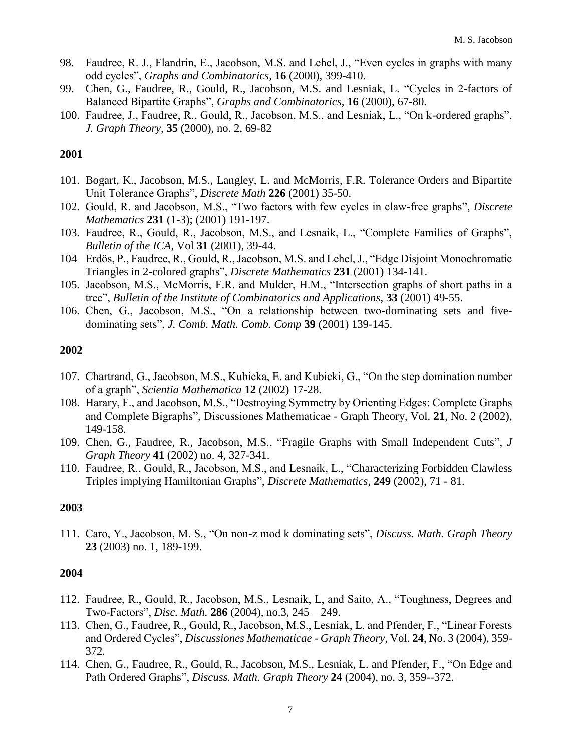- 98. Faudree, R. J., Flandrin, E., Jacobson, M.S. and Lehel, J., "Even cycles in graphs with many odd cycles", *Graphs and Combinatorics,* **16** (2000), 399-410.
- 99. Chen, G., Faudree, R., Gould, R., Jacobson, M.S. and Lesniak, L. "Cycles in 2-factors of Balanced Bipartite Graphs", *Graphs and Combinatorics,* **16** (2000), 67-80.
- 100. Faudree, J., Faudree, R., Gould, R., Jacobson, M.S., and Lesniak, L., "On k-ordered graphs", *J. Graph Theory*, **35** (2000), no. 2, 69-82

- 101. Bogart, K., Jacobson, M.S., Langley, L. and McMorris, F.R. Tolerance Orders and Bipartite Unit Tolerance Graphs", *Discrete Math* **226** (2001) 35-50.
- 102. Gould, R. and Jacobson, M.S., "Two factors with few cycles in claw-free graphs", *Discrete Mathematics* **231** (1-3); (2001) 191-197.
- 103. Faudree, R., Gould, R., Jacobson, M.S., and Lesnaik, L., "Complete Families of Graphs", *Bulletin of the ICA*, Vol **31** (2001), 39-44.
- 104 Erdös, P., Faudree, R., Gould, R., Jacobson, M.S. and Lehel, J., "Edge Disjoint Monochromatic Triangles in 2-colored graphs", *Discrete Mathematics* **231** (2001) 134-141.
- 105. Jacobson, M.S., McMorris, F.R. and Mulder, H.M., "Intersection graphs of short paths in a tree", *Bulletin of the Institute of Combinatorics and Applications*, **33** (2001) 49-55.
- 106. Chen, G., Jacobson, M.S., "On a relationship between two-dominating sets and fivedominating sets", *J. Comb. Math. Comb. Comp* **39** (2001) 139-145.

### **2002**

- 107. Chartrand, G., Jacobson, M.S., Kubicka, E. and Kubicki, G., "On the step domination number of a graph", *Scientia Mathematica* **12** (2002) 17-28.
- 108. Harary, F., and Jacobson, M.S., "Destroying Symmetry by Orienting Edges: Complete Graphs and Complete Bigraphs", Discussiones Mathematicae - Graph Theory, Vol. **21**, No. 2 (2002), 149-158.
- 109. Chen, G., Faudree, R., Jacobson, M.S., ["Fragile Graphs with Small Independent Cuts"](http://www-math.cudenver.edu/~msj/papers/Fragilegraphs.pdf), *J Graph Theory* **41** (2002) no. 4, 327-341.
- 110. Faudree, R., Gould, R., Jacobson, M.S., and Lesnaik, L., ["Characterizing Forbidden Clawless](http://www-math.cudenver.edu/~msj/papers/Forbiddenclawlesstriples.pdf)  [Triples implying Hamiltonian Graphs"](http://www-math.cudenver.edu/~msj/papers/Forbiddenclawlesstriples.pdf), *Discrete Mathematics*, **249** (2002), 71 - 81.

### **2003**

111. Caro, Y., Jacobson, M. S., "On non-z mod k dominating sets", *Discuss. Math. Graph Theory* **23** (2003) no. 1, 189-199.

- 112. Faudree, R., Gould, R., Jacobson, M.S., Lesnaik, L, and Saito, A., "Toughness, Degrees and Two-Factors", *Disc. Math.* **286** (2004), no.3, 245 – 249.
- 113. Chen, G., Faudree, R., Gould, R., Jacobson, M.S., Lesniak, L. and Pfender, F., "Linear Forests and Ordered Cycles", *Discussiones Mathematicae - Graph Theory,* Vol. **24**, No. 3 (2004), 359- 372*.*
- 114. Chen, G., Faudree, R., Gould, R., Jacobson, M.S., Lesniak, L. and Pfender, F., "On Edge and Path Ordered Graphs", *[Discuss. Math. Graph Theory](http://www.ams.org/msnmain?fn=305&pg1=CN&s1=Discuss_Math_Graph_Theory&v1=Discuss%2E%20Math%2E%20Graph%20Theory)* **24** (2004), [no. 3,](http://www.ams.org/msnmain?fn=130&pg1=ISSI&s1=226039&v1=Discussiones%20Mathematicae%2E%20Graph%20Theory%20%5B%2024%20%282004%29%2C%20no%2E%203%5D) 359--372.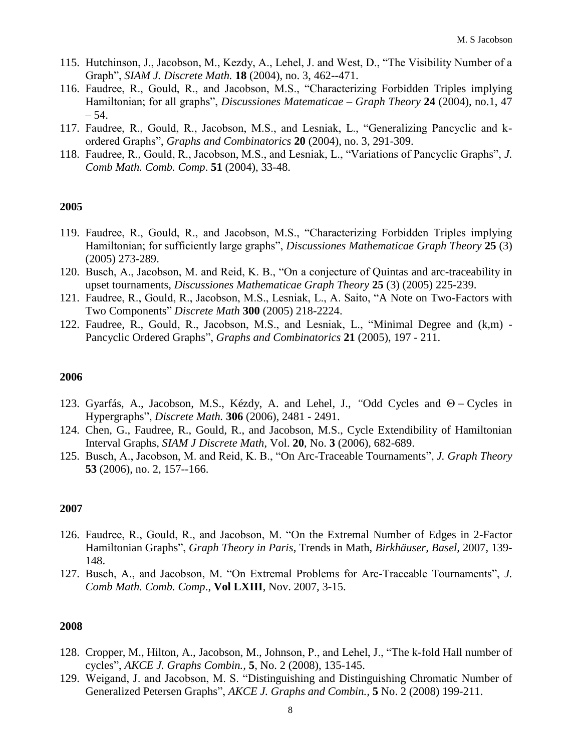- 115. Hutchinson, J., Jacobson, M., Kezdy, A., Lehel, J. and West, D., "The Visibility Number of a Graph", *SIAM J. Discrete Math.* **18** (2004), [no. 3,](http://www.ams.org/msnmain?fn=130&pg1=ISSI&s1=228413&v1=SIAM%20Journal%20on%20Discrete%20Mathematics%20%5B%2018%20%282004%29%2C%20no%2E%203%5D) 462--471.
- 116. Faudree, R., Gould, R., and Jacobson, M.S., "Characterizing Forbidden Triples implying Hamiltonian; for all graphs", *Discussiones Matematicae – Graph Theory* **24** (2004), no.1, 47  $-54.$
- 117. Faudree, R., Gould, R., Jacobson, M.S., and Lesniak, L., "Generalizing Pancyclic and kordered Graphs", *Graphs and Combinatorics* **20** (2004), no. 3, 291-309.
- 118. Faudree, R., Gould, R., Jacobson, M.S., and Lesniak, L., "Variations of Pancyclic Graphs", *J. Comb Math. Comb. Comp*. **51** (2004), 33-48.

- 119. Faudree, R., Gould, R., and Jacobson, M.S., "Characterizing Forbidden Triples implying Hamiltonian; for sufficiently large graphs", *Discussiones Mathematicae Graph Theory* **25** (3) (2005) 273-289.
- 120. Busch, A., Jacobson, M. and Reid, K. B., "On a conjecture of Quintas and arc-traceability in upset tournaments, *Discussiones Mathematicae Graph Theory* **25** (3) (2005) 225-239.
- 121. Faudree, R., Gould, R., Jacobson, M.S., Lesniak, L., A. Saito, ["A Note on Two-Factors with](http://www.sciencedirect.com/science?_ob=MImg&_imagekey=B6V00-4GX0CHM-3-6H&_cdi=5632&_user=914312&_orig=search&_coverDate=09/06/2005&_sk=996999998&view=c&wchp=dGLzVzz-zSkzk&md5=1097ef158f914a446000501e1746805d&ie=/sdarticle.pdf)  [Two Components"](http://www.sciencedirect.com/science?_ob=MImg&_imagekey=B6V00-4GX0CHM-3-6H&_cdi=5632&_user=914312&_orig=search&_coverDate=09/06/2005&_sk=996999998&view=c&wchp=dGLzVzz-zSkzk&md5=1097ef158f914a446000501e1746805d&ie=/sdarticle.pdf) *Discrete Math* **300** (2005) 218-2224.
- 122. Faudree, R., Gould, R., Jacobson, M.S., and Lesniak, L., ["Minimal Degree and \(k,m\) -](http://www.springerlink.com/content/ql092584777772nv/fulltext.pdf) [Pancyclic Ordered Graphs"](http://www.springerlink.com/content/ql092584777772nv/fulltext.pdf), *Graphs and Combinatorics* **21** (2005), 197 - 211.

#### **2006**

- 123. Gyarfás, A., Jacobson, M.S., Kézdy, A. and Lehel, J., "[Odd Cycles and](http://www.sciencedirect.com/science?_ob=MImg&_imagekey=B6V00-4KKNJ5Y-1-NG&_cdi=5632&_user=914312&_orig=search&_coverDate=10/06/2006&_sk=996939980&view=c&wchp=dGLbVzW-zSkzS&md5=5ed983f09916c45a07387723a0899533&ie=/sdarticle.pdf)  $\Theta$  Cycles in [Hypergraphs"](http://www.sciencedirect.com/science?_ob=MImg&_imagekey=B6V00-4KKNJ5Y-1-NG&_cdi=5632&_user=914312&_orig=search&_coverDate=10/06/2006&_sk=996939980&view=c&wchp=dGLbVzW-zSkzS&md5=5ed983f09916c45a07387723a0899533&ie=/sdarticle.pdf), *Discrete Math.* **306** (2006), 2481 - 2491.
- 124. Chen, G., Faudree, R., Gould, R., and Jacobson, M.S., Cycle Extendibility of Hamiltonian Interval Graphs, *SIAM J Discrete Math*, Vol. **20**, No. **3** (2006), 682-689.
- 125. Busch, A., Jacobson, M. and Reid, K. B., ["On Arc-Traceable Tournaments"](http://www3.interscience.wiley.com/cgi-bin/fulltext/112649717/PDFSTART), *[J. Graph Theory](http://www.ams.org/mathscinet/search/journaldoc.html?cn=J_Graph_Theory)* **[53](http://www.ams.org/mathscinet/search/publications.html?pg1=ISSI&s1=245008)** [\(2006\), no. 2,](http://www.ams.org/mathscinet/search/publications.html?pg1=ISSI&s1=245008) 157--166.

#### **2007**

- 126. Faudree, R., Gould, R., and Jacobson, M. ["On the Extremal Number of Edges in 2-Factor](http://www-math.cudenver.edu/~msj/papers/2-factorham.pdf)  [Hamiltonian Graphs"](http://www-math.cudenver.edu/~msj/papers/2-factorham.pdf), *Graph Theory in Paris*, Trends in Math, *Birkhäuser, Basel,* 2007, 139- 148.
- 127. Busch, A., and Jacobson, M. "On Extremal Problems for Arc-Traceable Tournaments", *J. Comb Math. Comb. Comp*., **Vol LXIII**, Nov. 2007, 3-15.

- 128. Cropper, M., Hilton, A., Jacobson, M., Johnson, P., and Lehel, J., ["The k-fold Hall number of](http://www-math.cudenver.edu/~msj/papers/A-hall2.pdf)  [cycles"](http://www-math.cudenver.edu/~msj/papers/A-hall2.pdf), *AKCE J. Graphs Combin.,* **5**, No. 2 (2008), 135-145.
- 129. Weigand, J. and Jacobson, M. S. ["Distinguishing and Distinguishing Chromatic Number of](http://www-math.cudenver.edu/~msj/papers/gp-color.pdf)  [Generalized Petersen Graphs"](http://www-math.cudenver.edu/~msj/papers/gp-color.pdf), *AKCE J. Graphs and Combin.,* **5** No. 2 (2008) 199-211.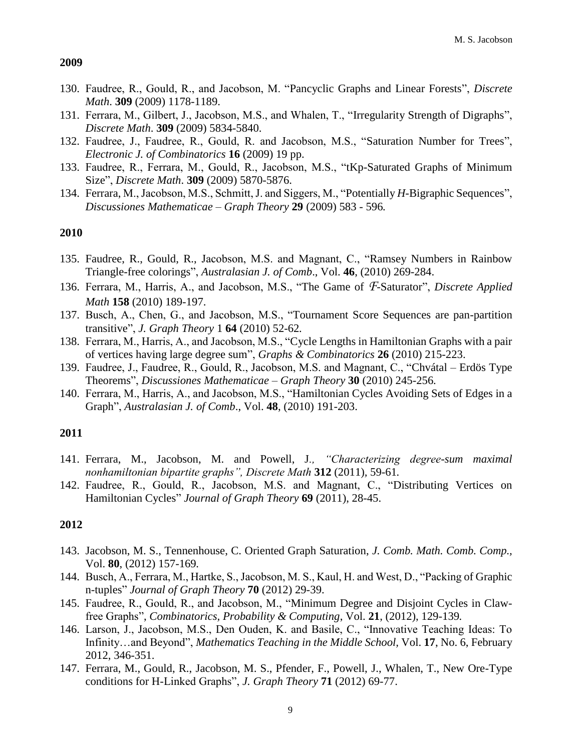- 130. Faudree, R., Gould, R., and Jacobson, M. ["Pancyclic Graphs and Linear Forests"](http://www-math.cudenver.edu/~msj/papers/PancycliGandLinF.pdf), *Discrete Math*. **309** (2009) 1178-1189.
- 131. Ferrara, M., Gilbert, J., Jacobson, M.S., and Whalen, T., ["Irregularity Strength of Digraphs"](http://www-math.cudenver.edu/~msj/papers/irregdigraph.pdf), *Discrete Math*. **309** (2009) 5834-5840.
- 132. Faudree, J., Faudree, R., Gould, R. and Jacobson, M.S., ["Saturation Number for Trees"](http://www-math.cudenver.edu/~msj/papers/treesat.pdf), *Electronic J. of Combinatorics* **16** (2009) 19 pp.
- 133. Faudree, R., Ferrara, M., Gould, R., Jacobson, M.S., ["tKp-Saturated Graphs of Minimum](http://www-math.cudenver.edu/~msj/papers/Satnum.pdf)  [Size"](http://www-math.cudenver.edu/~msj/papers/Satnum.pdf), *Discrete Math*. **309** (2009) 5870-5876.
- 134. Ferrara, M., Jacobson, M.S., Schmitt, J. and Siggers, M., "Potentially *H*[-Bigraphic Sequences"](http://www-math.cudenver.edu/~msj/papers/bipotseq.pdf), *Discussiones Mathematicae – Graph Theory* **29** (2009) 583 - 596*.*

#### **2010**

- 135. Faudree, R., Gould, R., Jacobson, M.S. and Magnant, C., ["Ramsey Numbers in Rainbow](http://www-math.cudenver.edu/~msj/papers/rr.pdf)  [Triangle-free colorings"](http://www-math.cudenver.edu/~msj/papers/rr.pdf), *Australasian J. of Comb*., Vol. **46**, (2010) 269-284.
- 136. Ferrara, M., Harris, A., and Jacobson, M.S., ["The Game of](http://www-math.cudenver.edu/~msj/papers/saturator.pdf) *F*-Saturator", *Discrete Applied Math* **158** (2010) 189-197.
- 137. Busch, A., Chen, G., and Jacobson, M.S., ["Tournament Score Sequences are pan-partition](http://www.math.ucdenver.edu/~msj/papers/pantransseq.pdf)  [transitive"](http://www.math.ucdenver.edu/~msj/papers/pantransseq.pdf), *J. Graph Theory* 1 **64** (2010) 52-62*.*
- 138. Ferrara, M., Harris, A., and Jacobson, M.S., ["Cycle Lengths in Hamiltonian Graphs with a pair](http://www-math.cudenver.edu/~msj/papers/CycleLengths.pdf)  [of vertices having large degree sum"](http://www-math.cudenver.edu/~msj/papers/CycleLengths.pdf), *Graphs & Combinatorics* **26** (2010) 215-223.
- 139. Faudree, J., Faudree, R., Gould, R., Jacobson, M.S. and Magnant, C., "Chvátal [Erdös Type](http://www-math.cudenver.edu/~msj/papers/CE-TypeThms.pdf)  [Theorems"](http://www-math.cudenver.edu/~msj/papers/CE-TypeThms.pdf), *Discussiones Mathematicae – Graph Theory* **30** (2010) 245-256*.*
- 140. Ferrara, M., Harris, A., and Jacobson, M.S., ["Hamiltonian Cycles Avoiding Sets of Edges in a](http://www-math.cudenver.edu/~msj/papers/ham_avoiding.pdf)  [Graph"](http://www-math.cudenver.edu/~msj/papers/ham_avoiding.pdf), *Australasian J. of Comb*., Vol. **48**, (2010) 191-203.

# **2011**

- 141. Ferrara, M., Jacobson, M. and Powell, J*., "Characterizing degree-sum maximal nonhamiltonian bipartite graphs", Discrete Math* **312** (2011)*,* 59-61*.*
- 142. Faudree, R., Gould, R., Jacobson, M.S. and Magnant, C., ["Distributing Vertices on](http://www-math.cudenver.edu/~msj/papers/distributingverts.pdf)  [Hamiltonian Cycles"](http://www-math.cudenver.edu/~msj/papers/distributingverts.pdf) *Journal of Graph Theory* **69** (2011), 28-45.

- 143. Jacobson, M. S., Tennenhouse, C. [Oriented Graph Saturation,](http://www-math.cudenver.edu/~msj/papers/disaturation.pdf) *J. Comb. Math. Comb. Comp.,*  Vol. **80**, (2012) 157-169*.*
- 144. Busch, A., Ferrara, M., Hartke, S., Jacobson, M. S., Kaul, H. and West, D., "Packing of Graphic n-tuples" *Journal of Graph Theory* **70** (2012) 29-39.
- 145. Faudree, R., Gould, R., and Jacobson, M., "Minimum Degree and Disjoint Cycles in Clawfree Graphs", *Combinatorics, Probability & Computing*, Vol. **21**, (2012), 129-139*.*
- 146. Larson, J., Jacobson, M.S., Den Ouden, K. and Basile, C., "Innovative Teaching Ideas: To Infinity…and Beyond", *Mathematics Teaching in the Middle School,* Vol. **17**, No. 6, February 2012, 346-351.
- 147. Ferrara, M., Gould, R., Jacobson, M. S., Pfender, F., Powell, J., Whalen, T., New Ore-Type conditions for H-Linked Graphs", *J. Graph Theory* **71** (2012) 69-77.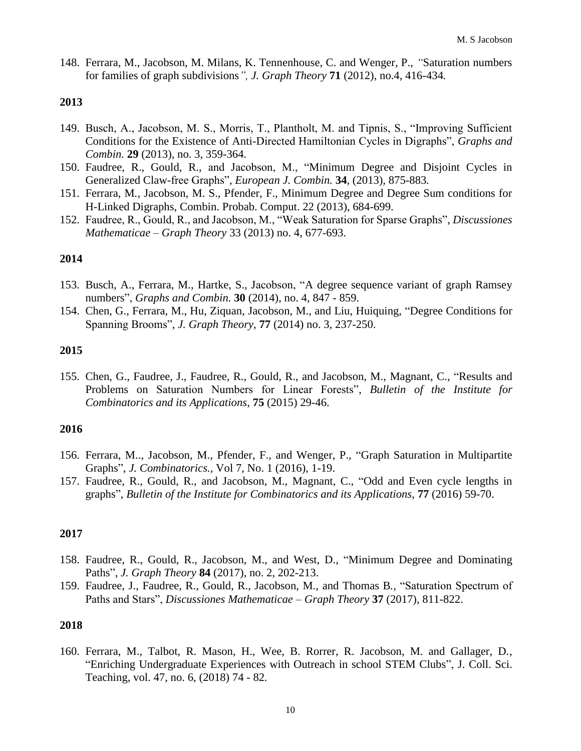148. Ferrara, M., Jacobson, M. Milans, K. Tennenhouse, C. and Wenger, P., *"*Saturation numbers for families of graph subdivisions*", J. Graph Theory* **71** (2012), no.4, 416-434*.*

#### **2013**

- 149. Busch, A., Jacobson, M. S., Morris, T., Plantholt, M. and Tipnis, S., "Improving Sufficient Conditions for the Existence of Anti-Directed Hamiltonian Cycles in Digraphs", *Graphs and Combin.* **29** (2013), no. 3, 359-364.
- 150. Faudree, R., Gould, R., and Jacobson, M., "Minimum Degree and Disjoint Cycles in Generalized Claw-free Graphs", *European J. Combin.* **34**, (2013), 875-883*.*
- 151. Ferrara, M*.,* Jacobson, M. S., Pfender, F., Minimum Degree and Degree Sum conditions for H-Linked Digraphs, Combin. Probab. Comput. 22 (2013), 684-699.
- 152. Faudree, R., Gould, R., and Jacobson, M., "Weak Saturation for Sparse Graphs", *Discussiones Mathematicae – Graph Theory* 33 (2013) no. 4, 677-693.

# **2014**

- 153. Busch, A., Ferrara, M*.*, Hartke, S., Jacobson, "A degree sequence variant of graph Ramsey numbers", *Graphs and Combin.* **30** (2014), no. 4, 847 - 859.
- 154. Chen, G., Ferrara, M., Hu, Ziquan, Jacobson, M., and Liu, Huiquing, "Degree Conditions for Spanning Brooms", *J. Graph Theory*, **77** (2014) no. 3, 237-250.

#### **2015**

155. Chen, G., Faudree, J., Faudree, R., Gould, R., and Jacobson, M., Magnant, C., "Results and Problems on Saturation Numbers for Linear Forests", *Bulletin of the Institute for Combinatorics and its Applications*, **75** (2015) 29-46.

# **2016**

- 156. Ferrara, M.., Jacobson, M., Pfender, F., and Wenger, P., "Graph Saturation in Multipartite Graphs", *J. Combinatorics.,* Vol 7, No. 1 (2016), 1-19.
- 157. Faudree, R., Gould, R., and Jacobson, M., Magnant, C., "Odd and Even cycle lengths in graphs", *Bulletin of the Institute for Combinatorics and its Applications*, **77** (2016) 59-70.

#### **2017**

- 158. Faudree, R., Gould, R., Jacobson, M., and West, D., "Minimum Degree and Dominating Paths", *J. Graph Theory* **84** (2017), no. 2, 202-213.
- 159. Faudree, J., Faudree, R., Gould, R., Jacobson, M., and Thomas B*.,* "Saturation Spectrum of Paths and Stars", *Discussiones Mathematicae – Graph Theory* **37** (2017), 811-822.

### **2018**

160. Ferrara, M., Talbot, R. Mason, H., Wee, B. Rorrer, R. Jacobson, M. and Gallager, D., "Enriching Undergraduate Experiences with Outreach in school STEM Clubs", J. Coll. Sci. Teaching, vol. 47, no. 6, (2018) 74 - 82*.*